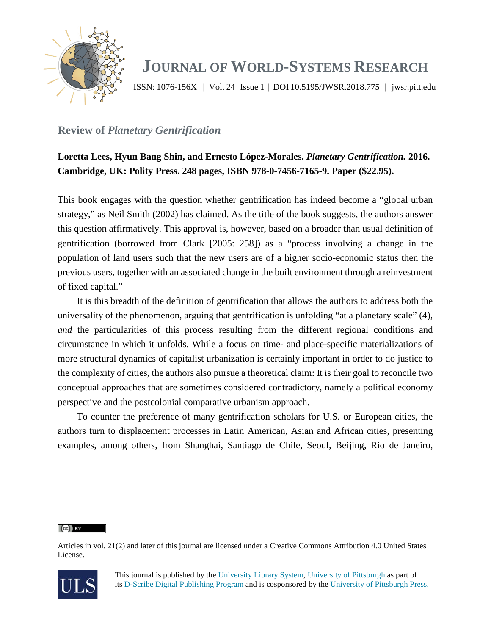

# **JOURNAL OF WORLD-SYSTEMS RESEARCH**

ISSN: 1076-156X | Vol. 24 Issue 1 | DOI 10.5195/JWSR.2018.775 | jwsr.pitt.edu

## **Review of** *Planetary Gentrification*

## **Loretta Lees, Hyun Bang Shin, and Ernesto López-Morales.** *Planetary Gentrification.* **2016. Cambridge, UK: Polity Press. 248 pages, ISBN 978-0-7456-7165-9. Paper (\$22.95).**

This book engages with the question whether gentrification has indeed become a "global urban strategy," as Neil Smith (2002) has claimed. As the title of the book suggests, the authors answer this question affirmatively. This approval is, however, based on a broader than usual definition of gentrification (borrowed from Clark [2005: 258]) as a "process involving a change in the population of land users such that the new users are of a higher socio-economic status then the previous users, together with an associated change in the built environment through a reinvestment of fixed capital."

It is this breadth of the definition of gentrification that allows the authors to address both the universality of the phenomenon, arguing that gentrification is unfolding "at a planetary scale" (4), *and* the particularities of this process resulting from the different regional conditions and circumstance in which it unfolds. While a focus on time- and place-specific materializations of more structural dynamics of capitalist urbanization is certainly important in order to do justice to the complexity of cities, the authors also pursue a theoretical claim: It is their goal to reconcile two conceptual approaches that are sometimes considered contradictory, namely a political economy perspective and the postcolonial comparative urbanism approach.

To counter the preference of many gentrification scholars for U.S. or European cities, the authors turn to displacement processes in Latin American, Asian and African cities, presenting examples, among others, from Shanghai, Santiago de Chile, Seoul, Beijing, Rio de Janeiro,

 $(cc)$  BY

Articles in vol. 21(2) and later of this journal are licensed under a Creative Commons Attribution 4.0 United States License.

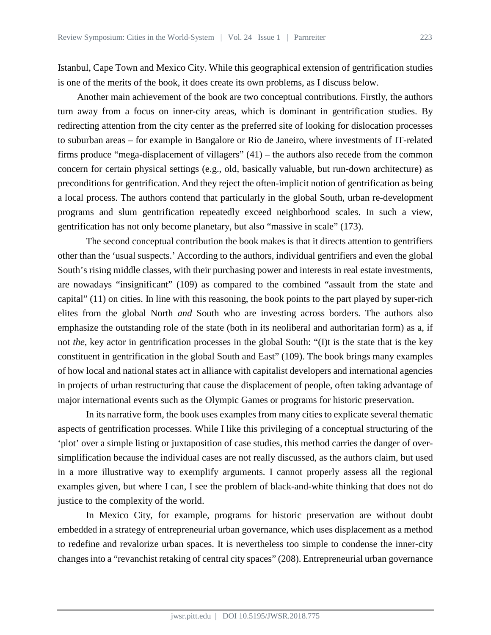Istanbul, Cape Town and Mexico City. While this geographical extension of gentrification studies is one of the merits of the book, it does create its own problems, as I discuss below.

Another main achievement of the book are two conceptual contributions. Firstly, the authors turn away from a focus on inner-city areas, which is dominant in gentrification studies. By redirecting attention from the city center as the preferred site of looking for dislocation processes to suburban areas – for example in Bangalore or Rio de Janeiro, where investments of IT-related firms produce "mega-displacement of villagers" (41) – the authors also recede from the common concern for certain physical settings (e.g., old, basically valuable, but run-down architecture) as preconditions for gentrification. And they reject the often-implicit notion of gentrification as being a local process. The authors contend that particularly in the global South, urban re-development programs and slum gentrification repeatedly exceed neighborhood scales. In such a view, gentrification has not only become planetary, but also "massive in scale" (173).

The second conceptual contribution the book makes is that it directs attention to gentrifiers other than the 'usual suspects.' According to the authors, individual gentrifiers and even the global South's rising middle classes, with their purchasing power and interests in real estate investments, are nowadays "insignificant" (109) as compared to the combined "assault from the state and capital" (11) on cities. In line with this reasoning, the book points to the part played by super-rich elites from the global North *and* South who are investing across borders. The authors also emphasize the outstanding role of the state (both in its neoliberal and authoritarian form) as a, if not *the*, key actor in gentrification processes in the global South: "(I)t is the state that is the key constituent in gentrification in the global South and East" (109). The book brings many examples of how local and national states act in alliance with capitalist developers and international agencies in projects of urban restructuring that cause the displacement of people, often taking advantage of major international events such as the Olympic Games or programs for historic preservation.

In its narrative form, the book uses examples from many cities to explicate several thematic aspects of gentrification processes. While I like this privileging of a conceptual structuring of the 'plot' over a simple listing or juxtaposition of case studies, this method carries the danger of oversimplification because the individual cases are not really discussed, as the authors claim, but used in a more illustrative way to exemplify arguments. I cannot properly assess all the regional examples given, but where I can, I see the problem of black-and-white thinking that does not do justice to the complexity of the world.

In Mexico City, for example, programs for historic preservation are without doubt embedded in a strategy of entrepreneurial urban governance, which uses displacement as a method to redefine and revalorize urban spaces. It is nevertheless too simple to condense the inner-city changes into a "revanchist retaking of central city spaces" (208). Entrepreneurial urban governance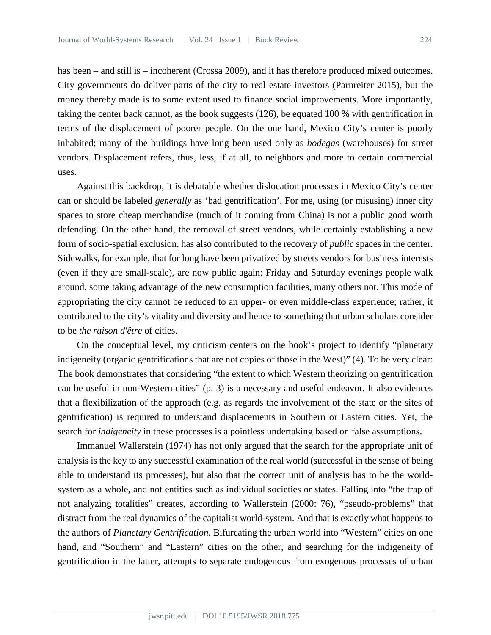has been – and still is – incoherent (Crossa 2009), and it has therefore produced mixed outcomes. City governments do deliver parts of the city to real estate investors (Parnreiter 2015), but the money thereby made is to some extent used to finance social improvements. More importantly, taking the center back cannot, as the book suggests (126), be equated 100 % with gentrification in terms of the displacement of poorer people. On the one hand, Mexico City's center is poorly inhabited; many of the buildings have long been used only as *bodegas* (warehouses) for street vendors. Displacement refers, thus, less, if at all, to neighbors and more to certain commercial uses.

Against this backdrop, it is debatable whether dislocation processes in Mexico City's center can or should be labeled *generally* as 'bad gentrification'. For me, using (or misusing) inner city spaces to store cheap merchandise (much of it coming from China) is not a public good worth defending. On the other hand, the removal of street vendors, while certainly establishing a new form of socio-spatial exclusion, has also contributed to the recovery of *public* spaces in the center. Sidewalks, for example, that for long have been privatized by streets vendors for business interests (even if they are small-scale), are now public again: Friday and Saturday evenings people walk around, some taking advantage of the new consumption facilities, many others not. This mode of appropriating the city cannot be reduced to an upper- or even middle-class experience; rather, it contributed to the city's vitality and diversity and hence to something that urban scholars consider to be *the raison d'être* of cities.

On the conceptual level, my criticism centers on the book's project to identify "planetary indigeneity (organic gentrifications that are not copies of those in the West)" (4). To be very clear: The book demonstrates that considering "the extent to which Western theorizing on gentrification can be useful in non-Western cities" (p. 3) is a necessary and useful endeavor. It also evidences that a flexibilization of the approach (e.g. as regards the involvement of the state or the sites of gentrification) is required to understand displacements in Southern or Eastern cities. Yet, the search for *indigeneity* in these processes is a pointless undertaking based on false assumptions.

Immanuel Wallerstein (1974) has not only argued that the search for the appropriate unit of analysis is the key to any successful examination of the real world (successful in the sense of being able to understand its processes), but also that the correct unit of analysis has to be the worldsystem as a whole, and not entities such as individual societies or states. Falling into "the trap of not analyzing totalities" creates, according to Wallerstein (2000: 76), "pseudo-problems" that distract from the real dynamics of the capitalist world-system. And that is exactly what happens to the authors of *Planetary Gentrification*. Bifurcating the urban world into "Western" cities on one hand, and "Southern" and "Eastern" cities on the other, and searching for the indigeneity of gentrification in the latter, attempts to separate endogenous from exogenous processes of urban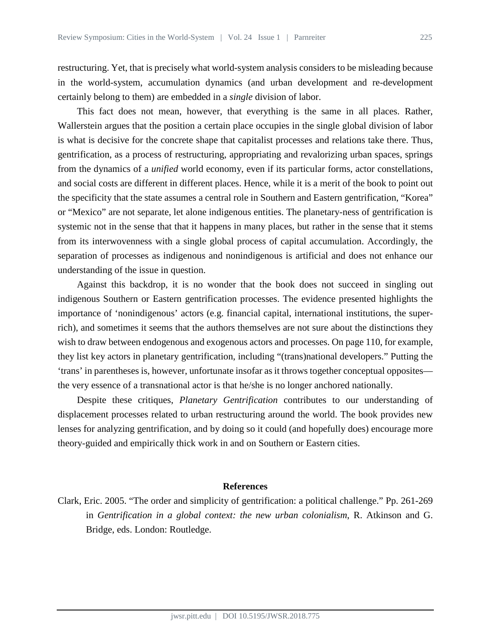restructuring. Yet, that is precisely what world-system analysis considers to be misleading because in the world-system, accumulation dynamics (and urban development and re-development certainly belong to them) are embedded in a *single* division of labor.

This fact does not mean, however, that everything is the same in all places. Rather, Wallerstein argues that the position a certain place occupies in the single global division of labor is what is decisive for the concrete shape that capitalist processes and relations take there. Thus, gentrification, as a process of restructuring, appropriating and revalorizing urban spaces, springs from the dynamics of a *unified* world economy, even if its particular forms, actor constellations, and social costs are different in different places. Hence, while it is a merit of the book to point out the specificity that the state assumes a central role in Southern and Eastern gentrification, "Korea" or "Mexico" are not separate, let alone indigenous entities. The planetary-ness of gentrification is systemic not in the sense that that it happens in many places, but rather in the sense that it stems from its interwovenness with a single global process of capital accumulation. Accordingly, the separation of processes as indigenous and nonindigenous is artificial and does not enhance our understanding of the issue in question.

Against this backdrop, it is no wonder that the book does not succeed in singling out indigenous Southern or Eastern gentrification processes. The evidence presented highlights the importance of 'nonindigenous' actors (e.g. financial capital, international institutions, the superrich), and sometimes it seems that the authors themselves are not sure about the distinctions they wish to draw between endogenous and exogenous actors and processes. On page 110, for example, they list key actors in planetary gentrification, including "(trans)national developers." Putting the 'trans' in parentheses is, however, unfortunate insofar as it throws together conceptual opposites the very essence of a transnational actor is that he/she is no longer anchored nationally.

Despite these critiques, *Planetary Gentrification* contributes to our understanding of displacement processes related to urban restructuring around the world. The book provides new lenses for analyzing gentrification, and by doing so it could (and hopefully does) encourage more theory-guided and empirically thick work in and on Southern or Eastern cities.

#### **References**

Clark, Eric. 2005. "The order and simplicity of gentrification: a political challenge." Pp. 261-269 in *Gentrification in a global context: the new urban colonialism*, R. Atkinson and G. Bridge, eds. London: Routledge.